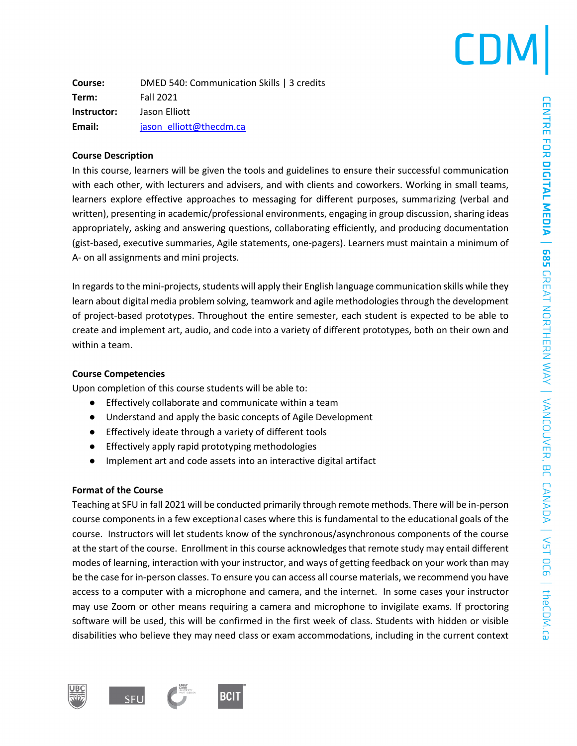# CDN

**Course:** DMED 540: Communication Skills | 3 credits **Term:** Fall 2021 **Instructor:** Jason Elliott Email: jason\_elliott@thecdm.ca

### **Course Description**

In this course, learners will be given the tools and guidelines to ensure their successful communication with each other, with lecturers and advisers, and with clients and coworkers. Working in small teams, learners explore effective approaches to messaging for different purposes, summarizing (verbal and written), presenting in academic/professional environments, engaging in group discussion, sharing ideas appropriately, asking and answering questions, collaborating efficiently, and producing documentation (gist-based, executive summaries, Agile statements, one-pagers). Learners must maintain a minimum of A- on all assignments and mini projects.

In regards to the mini-projects, students will apply their English language communication skills while they learn about digital media problem solving, teamwork and agile methodologies through the development of project-based prototypes. Throughout the entire semester, each student is expected to be able to create and implement art, audio, and code into a variety of different prototypes, both on their own and within a team.

## **Course Competencies**

Upon completion of this course students will be able to:

- Effectively collaborate and communicate within a team
- Understand and apply the basic concepts of Agile Development
- Effectively ideate through a variety of different tools
- Effectively apply rapid prototyping methodologies
- Implement art and code assets into an interactive digital artifact

### **Format of the Course**

Teaching at SFU in fall 2021 will be conducted primarily through remote methods. There will be in-person course components in a few exceptional cases where this is fundamental to the educational goals of the course. Instructors will let students know of the synchronous/asynchronous components of the course at the start of the course. Enrollment in this course acknowledges that remote study may entail different modes of learning, interaction with your instructor, and ways of getting feedback on your work than may be the case for in-person classes. To ensure you can access all course materials, we recommend you have access to a computer with a microphone and camera, and the internet. In some cases your instructor may use Zoom or other means requiring a camera and microphone to invigilate exams. If proctoring software will be used, this will be confirmed in the first week of class. Students with hidden or visible disabilities who believe they may need class or exam accommodations, including in the current context

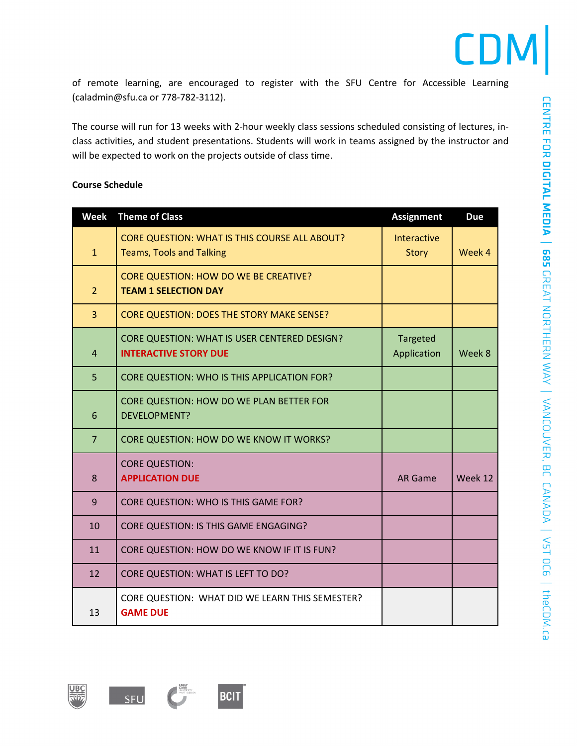of remote learning, are encouraged to register with the SFU Centre for Accessible Learning (caladmin@sfu.ca or 778-782-3112).

The course will run for 13 weeks with 2-hour weekly class sessions scheduled consisting of lectures, inclass activities, and student presentations. Students will work in teams assigned by the instructor and will be expected to work on the projects outside of class time.

### **Course Schedule**

| Week           | <b>Theme of Class</b>                                                                   | <b>Assignment</b>           | <b>Due</b> |
|----------------|-----------------------------------------------------------------------------------------|-----------------------------|------------|
| $\mathbf{1}$   | <b>CORE QUESTION: WHAT IS THIS COURSE ALL ABOUT?</b><br><b>Teams, Tools and Talking</b> | Interactive<br><b>Story</b> | Week 4     |
| $\overline{2}$ | <b>CORE QUESTION: HOW DO WE BE CREATIVE?</b><br><b>TEAM 1 SELECTION DAY</b>             |                             |            |
| $\overline{3}$ | CORE QUESTION: DOES THE STORY MAKE SENSE?                                               |                             |            |
| $\overline{4}$ | CORE QUESTION: WHAT IS USER CENTERED DESIGN?<br><b>INTERACTIVE STORY DUE</b>            | Targeted<br>Application     | Week 8     |
| 5              | <b>CORE QUESTION: WHO IS THIS APPLICATION FOR?</b>                                      |                             |            |
| 6              | CORE QUESTION: HOW DO WE PLAN BETTER FOR<br>DEVELOPMENT?                                |                             |            |
| $\overline{7}$ | CORE QUESTION: HOW DO WE KNOW IT WORKS?                                                 |                             |            |
| 8              | <b>CORE QUESTION:</b><br><b>APPLICATION DUE</b>                                         | <b>AR Game</b>              | Week 12    |
| 9              | CORE QUESTION: WHO IS THIS GAME FOR?                                                    |                             |            |
| 10             | CORE QUESTION: IS THIS GAME ENGAGING?                                                   |                             |            |
| 11             | CORE QUESTION: HOW DO WE KNOW IF IT IS FUN?                                             |                             |            |
| 12             | CORE QUESTION: WHAT IS LEFT TO DO?                                                      |                             |            |
| 13             | CORE QUESTION: WHAT DID WE LEARN THIS SEMESTER?<br><b>GAME DUE</b>                      |                             |            |

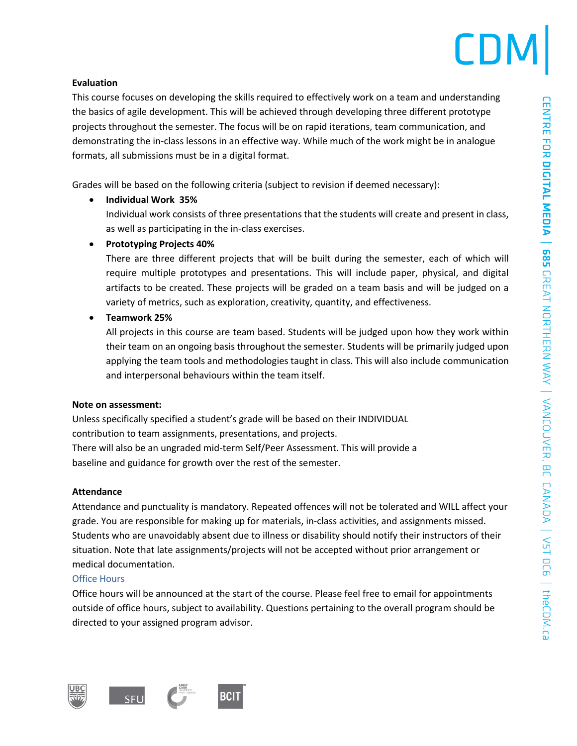### **Evaluation**

This course focuses on developing the skills required to effectively work on a team and understanding the basics of agile development. This will be achieved through developing three different prototype projects throughout the semester. The focus will be on rapid iterations, team communication, and demonstrating the in-class lessons in an effective way. While much of the work might be in analogue formats, all submissions must be in a digital format.

Grades will be based on the following criteria (subject to revision if deemed necessary):

### • **Individual Work 35%**

Individual work consists of three presentations that the students will create and present in class, as well as participating in the in-class exercises.

• **Prototyping Projects 40%**

There are three different projects that will be built during the semester, each of which will require multiple prototypes and presentations. This will include paper, physical, and digital artifacts to be created. These projects will be graded on a team basis and will be judged on a variety of metrics, such as exploration, creativity, quantity, and effectiveness.

### • **Teamwork 25%**

All projects in this course are team based. Students will be judged upon how they work within their team on an ongoing basis throughout the semester. Students will be primarily judged upon applying the team tools and methodologies taught in class. This will also include communication and interpersonal behaviours within the team itself.

### **Note on assessment:**

Unless specifically specified a student's grade will be based on their INDIVIDUAL contribution to team assignments, presentations, and projects. There will also be an ungraded mid-term Self/Peer Assessment. This will provide a baseline and guidance for growth over the rest of the semester.

### **Attendance**

Attendance and punctuality is mandatory. Repeated offences will not be tolerated and WILL affect your grade. You are responsible for making up for materials, in-class activities, and assignments missed. Students who are unavoidably absent due to illness or disability should notify their instructors of their situation. Note that late assignments/projects will not be accepted without prior arrangement or medical documentation.

### Office Hours

Office hours will be announced at the start of the course. Please feel free to email for appointments outside of office hours, subject to availability. Questions pertaining to the overall program should be directed to your assigned program advisor.

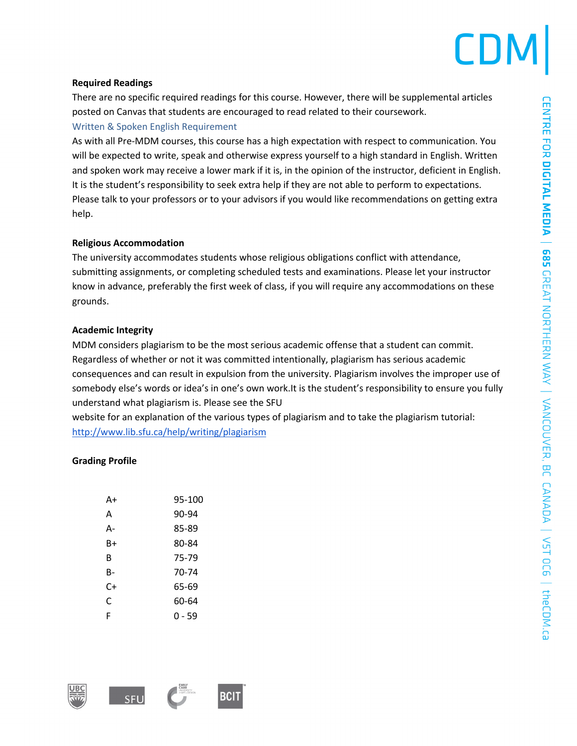**CDN** 

### **Required Readings**

There are no specific required readings for this course. However, there will be supplemental articles posted on Canvas that students are encouraged to read related to their coursework. Written & Spoken English Requirement

As with all Pre-MDM courses, this course has a high expectation with respect to communication. You will be expected to write, speak and otherwise express yourself to a high standard in English. Written and spoken work may receive a lower mark if it is, in the opinion of the instructor, deficient in English. It is the student's responsibility to seek extra help if they are not able to perform to expectations. Please talk to your professors or to your advisors if you would like recommendations on getting extra help.

### **Religious Accommodation**

The university accommodates students whose religious obligations conflict with attendance, submitting assignments, or completing scheduled tests and examinations. Please let your instructor know in advance, preferably the first week of class, if you will require any accommodations on these grounds.

### **Academic Integrity**

MDM considers plagiarism to be the most serious academic offense that a student can commit. Regardless of whether or not it was committed intentionally, plagiarism has serious academic consequences and can result in expulsion from the university. Plagiarism involves the improper use of somebody else's words or idea's in one's own work.It is the student's responsibility to ensure you fully understand what plagiarism is. Please see the SFU

website for an explanation of the various types of plagiarism and to take the plagiarism tutorial: http://www.lib.sfu.ca/help/writing/plagiarism

### **Grading Profile**

| A+ | 95-100 |
|----|--------|
| Α  | 90-94  |
| А- | 85-89  |
| R+ | 80-84  |
| В  | 75-79  |
| B- | 70-74  |
| C+ | 65-69  |
| C  | 60-64  |
| F  | በ - 59 |